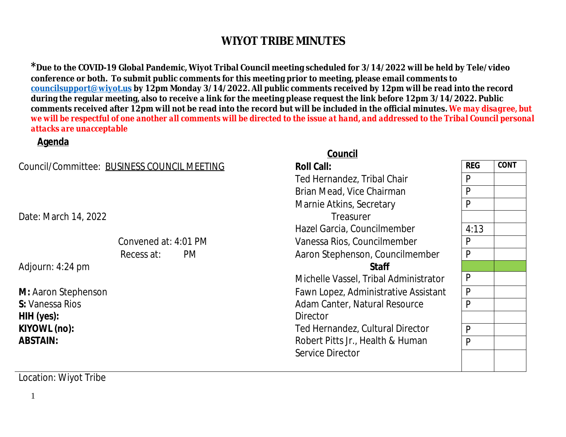<sup>\*</sup> Due to the COVID-19 Global Pandemic, Wiyot Tribal Council meeting scheduled for 3/14/2022 will be l conference or both. To submit public comments for this meeting prior to meeting, please email commen **councilsupport@wiyot.us by 12pm Monday 3/14/2022. All public comments received by 12pm will be reading** during the regular meeting, also to receive a link for the meeting please request the link before 12pm 3/ comments received after 12pm will not be read into the record but will be included in the official minut *we will be respectful of one another all comments will be directed to the issue at hand, and addressed to the Tribal Council personal council personal council personal council personal council personal de response we will attacks are unacceptable*

#### **Agenda**

|                                             | Council                              |
|---------------------------------------------|--------------------------------------|
| Council/Committee: BUSINESS COUNCIL MEETING | <b>Roll Call:</b>                    |
|                                             | Ted Hernandez, Tribal Chair          |
|                                             | Brian Mead, Vice Chairman            |
|                                             | Marnie Atkins, Secretary             |
| Date: March 14, 2022                        | Treasurer                            |
|                                             | Hazel Garcia, Councilmember          |
| Convened at: 4:01 PM                        | Vanessa Rios, Councilmember          |
| Recess at:<br>PM.                           | Aaron Stephenson, Councilmember      |
| Adjourn: 4:24 pm                            | <b>Staff</b>                         |
|                                             | Michelle Vassel, Tribal Administrate |
| M: Aaron Stephenson                         | Fawn Lopez, Administrative Assista   |
| S: Vanessa Rios                             | Adam Canter, Natural Resource        |
| HIH (yes):                                  | Director                             |
| KIYOWL (no):                                | Ted Hernandez, Cultural Director     |
| <b>ABSTAIN:</b>                             | Robert Pitts Jr., Health & Human     |
|                                             | Service Director                     |
|                                             |                                      |

Location: Wiyot Tribe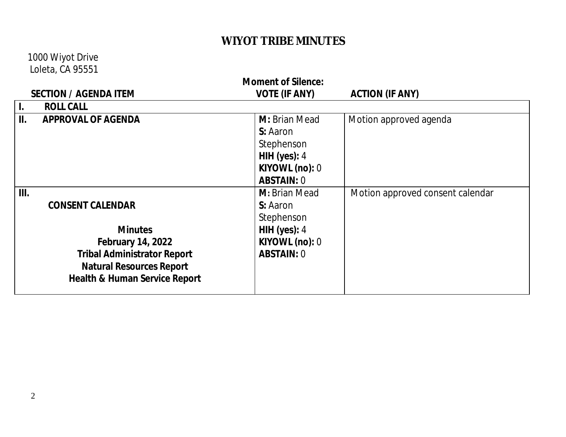1000 Wiyot Drive Loleta, CA 95551

| <b>Moment of Silence:</b>        |                                          |                      |                                  |  |  |
|----------------------------------|------------------------------------------|----------------------|----------------------------------|--|--|
|                                  | <b>SECTION / AGENDA ITEM</b>             | <b>VOTE (IF ANY)</b> | <b>ACTION (IF ANY)</b>           |  |  |
| $\mathbf{L}$<br><b>ROLL CALL</b> |                                          |                      |                                  |  |  |
| II.                              | <b>APPROVAL OF AGENDA</b>                | <b>M:</b> Brian Mead | Motion approved agenda           |  |  |
|                                  |                                          | S: Aaron             |                                  |  |  |
|                                  |                                          | Stephenson           |                                  |  |  |
|                                  |                                          | HIH (yes): $4$       |                                  |  |  |
|                                  |                                          | KIYOWL (no): 0       |                                  |  |  |
|                                  |                                          | <b>ABSTAIN: 0</b>    |                                  |  |  |
| III.                             |                                          | M: Brian Mead        | Motion approved consent calendar |  |  |
|                                  | <b>CONSENT CALENDAR</b>                  | S: Aaron             |                                  |  |  |
|                                  |                                          | Stephenson           |                                  |  |  |
|                                  | <b>Minutes</b>                           | HIH (yes): $4$       |                                  |  |  |
|                                  | <b>February 14, 2022</b>                 | KIYOWL (no): 0       |                                  |  |  |
|                                  | <b>Tribal Administrator Report</b>       | <b>ABSTAIN: 0</b>    |                                  |  |  |
|                                  | <b>Natural Resources Report</b>          |                      |                                  |  |  |
|                                  | <b>Health &amp; Human Service Report</b> |                      |                                  |  |  |
|                                  |                                          |                      |                                  |  |  |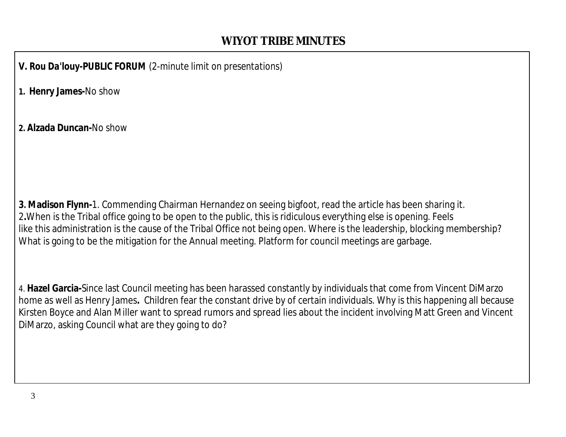*V. Rou Da'louy-PUBLIC FORUM (2-minute limit on presentations)*

**1. Henry James-**No show

**2. Alzada Duncan-**No show

**3. Madison Flynn-**1. Commending Chairman Hernandez on seeing bigfoot, read the article has been sharing it. 2**.**When is the Tribal office going to be open to the public, this is ridiculous everything else is opening. Feels like this administration is the cause of the Tribal Office not being open. Where is the leadership, blocking membership? What is going to be the mitigation for the Annual meeting. Platform for council meetings are garbage.

4. **Hazel Garcia-**Since last Council meeting has been harassed constantly by individuals that come from Vincent DiMarzo home as well as Henry James**.** Children fear the constant drive by of certain individuals. Why is this happening all because Kirsten Boyce and Alan Miller want to spread rumors and spread lies about the incident involving Matt Green and Vincent DiMarzo, asking Council what are they going to do?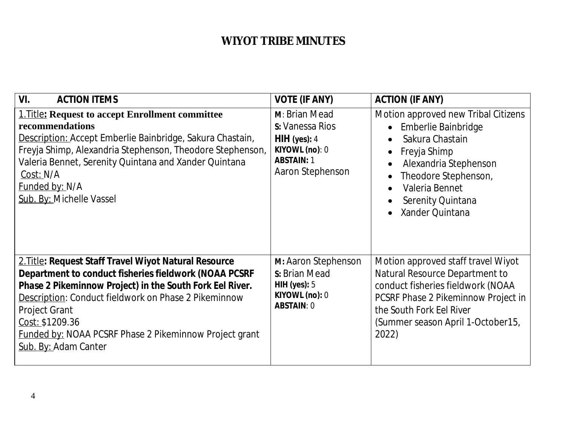| VI.<br><b>ACTION ITEMS</b>                                                                                                                                                                                                                                                                                                                                             | <b>VOTE (IF ANY)</b>                                                                                         | <b>ACTION (IF ANY)</b>                                                                                                                                                                                                                                         |
|------------------------------------------------------------------------------------------------------------------------------------------------------------------------------------------------------------------------------------------------------------------------------------------------------------------------------------------------------------------------|--------------------------------------------------------------------------------------------------------------|----------------------------------------------------------------------------------------------------------------------------------------------------------------------------------------------------------------------------------------------------------------|
| <b>1. Title: Request to accept Enrollment committee</b><br>recommendations<br>Description: Accept Emberlie Bainbridge, Sakura Chastain,<br>Freyja Shimp, Alexandria Stephenson, Theodore Stephenson,<br>Valeria Bennet, Serenity Quintana and Xander Quintana<br>Cost: N/A<br>Funded by: N/A<br>Sub. By: Michelle Vassel                                               | M: Brian Mead<br>S: Vanessa Rios<br>$HH$ (yes): 4<br>KIYOWL (no): 0<br><b>ABSTAIN: 1</b><br>Aaron Stephenson | Motion approved new Tribal Citizens<br>• Emberlie Bainbridge<br>Sakura Chastain<br>Freyja Shimp<br>$\bullet$<br>Alexandria Stephenson<br>Theodore Stephenson,<br>$\bullet$<br>Valeria Bennet<br>$\bullet$<br>Serenity Quintana<br>Xander Quintana<br>$\bullet$ |
| 2. Title: Request Staff Travel Wiyot Natural Resource<br>Department to conduct fisheries fieldwork (NOAA PCSRF<br>Phase 2 Pikeminnow Project) in the South Fork Eel River.<br>Description: Conduct fieldwork on Phase 2 Pikeminnow<br><b>Project Grant</b><br>Cost: \$1209.36<br><b>Funded by: NOAA PCSRF Phase 2 Pikeminnow Project grant</b><br>Sub. By: Adam Canter | M: Aaron Stephenson<br>S: Brian Mead<br>HIH (yes): $5$<br>KIYOWL (no): 0<br><b>ABSTAIN: 0</b>                | Motion approved staff travel Wiyot<br>Natural Resource Department to<br>conduct fisheries fieldwork (NOAA<br>PCSRF Phase 2 Pikeminnow Project in<br>the South Fork Eel River<br>(Summer season April 1-October15,<br>2022)                                     |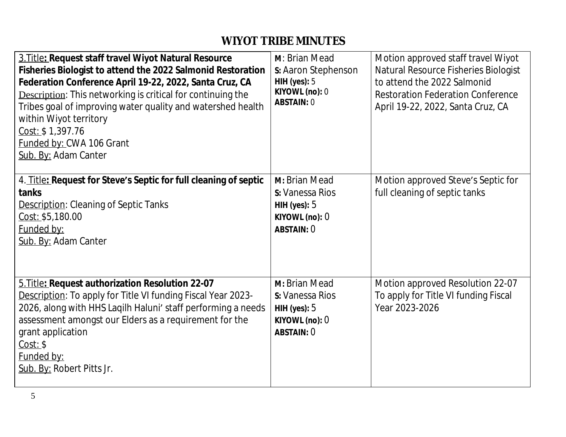| 3. Title: Request staff travel Wiyot Natural Resource<br>Fisheries Biologist to attend the 2022 Salmonid Restoration<br>Federation Conference April 19-22, 2022, Santa Cruz, CA<br><b>Description:</b> This networking is critical for continuing the<br>Tribes goal of improving water quality and watershed health<br>within Wiyot territory<br>Cost: \$1,397.76<br>Funded by: CWA 106 Grant<br>Sub. By: Adam Canter | M: Brian Mead<br>s: Aaron Stephenson<br>HIH (yes): $5$<br>KIYOWL (no): 0<br><b>ABSTAIN: 0</b> | Motion approved staff travel Wiyot<br>Natural Resource Fisheries Biologist<br>to attend the 2022 Salmonid<br><b>Restoration Federation Conference</b><br>April 19-22, 2022, Santa Cruz, CA |
|------------------------------------------------------------------------------------------------------------------------------------------------------------------------------------------------------------------------------------------------------------------------------------------------------------------------------------------------------------------------------------------------------------------------|-----------------------------------------------------------------------------------------------|--------------------------------------------------------------------------------------------------------------------------------------------------------------------------------------------|
| 4. Title: Request for Steve's Septic for full cleaning of septic<br>tanks<br><b>Description: Cleaning of Septic Tanks</b><br>Cost: \$5,180.00<br>Funded by:<br>Sub. By: Adam Canter                                                                                                                                                                                                                                    | M: Brian Mead<br>S: Vanessa Rios<br>HIH (yes): $5$<br>KIYOWL (no): 0<br><b>ABSTAIN: 0</b>     | Motion approved Steve's Septic for<br>full cleaning of septic tanks                                                                                                                        |
| 5. Title: Request authorization Resolution 22-07<br>Description: To apply for Title VI funding Fiscal Year 2023-<br>2026, along with HHS Laqilh Haluni' staff performing a needs<br>assessment amongst our Elders as a requirement for the<br>grant application<br>Cost: \$<br>Funded by:<br>Sub. By: Robert Pitts Jr.                                                                                                 | M: Brian Mead<br>S: Vanessa Rios<br>HIH (yes): $5$<br>KIYOWL (no): 0<br><b>ABSTAIN: 0</b>     | Motion approved Resolution 22-07<br>To apply for Title VI funding Fiscal<br>Year 2023-2026                                                                                                 |